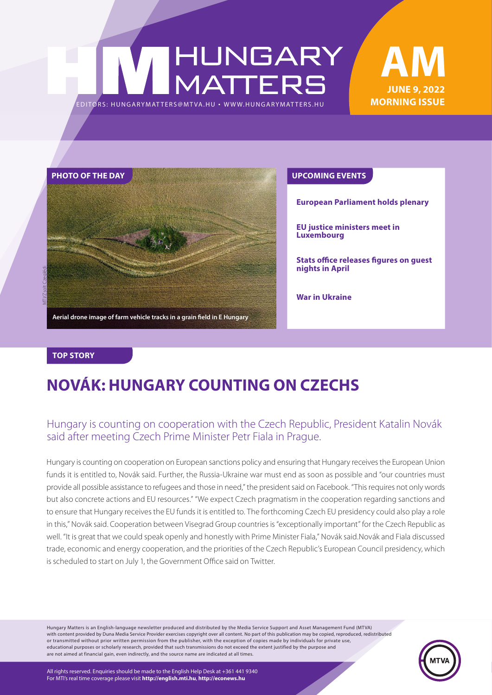## HUNGARY<br>MATTERS EDITORS: HUNGARYMAT TERS@MT VA.HU ¬ WWW.HUNGARYMAT TERS.HU





**European Parliament holds plenary**

**EU justice ministers meet in Luxembourg**

**Stats office releases figures on guest nights in April**

**War in Ukraine**

#### **TOP STORY**

### **NOVÁK: HUNGARY COUNTING ON CZECHS**

### Hungary is counting on cooperation with the Czech Republic, President Katalin Novák said after meeting Czech Prime Minister Petr Fiala in Prague.

Hungary is counting on cooperation on European sanctions policy and ensuring that Hungary receives the European Union funds it is entitled to, Novák said. Further, the Russia-Ukraine war must end as soon as possible and "our countries must provide all possible assistance to refugees and those in need," the president said on Facebook. "This requires not only words but also concrete actions and EU resources." "We expect Czech pragmatism in the cooperation regarding sanctions and to ensure that Hungary receives the EU funds it is entitled to. The forthcoming Czech EU presidency could also play a role in this," Novák said. Cooperation between Visegrad Group countries is "exceptionally important" for the Czech Republic as well. "It is great that we could speak openly and honestly with Prime Minister Fiala," Novák said.Novák and Fiala discussed trade, economic and energy cooperation, and the priorities of the Czech Republic's European Council presidency, which is scheduled to start on July 1, the Government Office said on Twitter.

Hungary Matters is an English-language newsletter produced and distributed by the Media Service Support and Asset Management Fund (MTVA) with content provided by Duna Media Service Provider exercises copyright over all content. No part of this publication may be copied, reproduced, redistributed or transmitted without prior written permission from the publisher, with the exception of copies made by individuals for private use, educational purposes or scholarly research, provided that such transmissions do not exceed the extent justified by the purpose and are not aimed at financial gain, even indirectly, and the source name are indicated at all times.

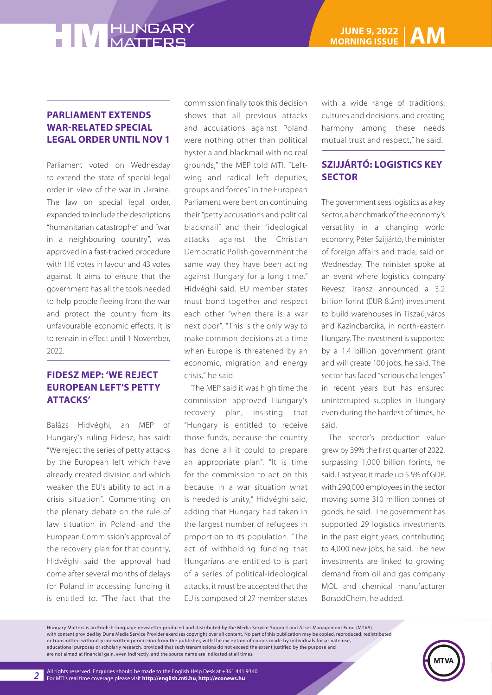### **PARLIAMENT EXTENDS WAR-RELATED SPECIAL LEGAL ORDER UNTIL NOV 1**

Parliament voted on Wednesday to extend the state of special legal order in view of the war in Ukraine. The law on special legal order, expanded to include the descriptions "humanitarian catastrophe" and "war in a neighbouring country", was approved in a fast-tracked procedure with 116 votes in favour and 43 votes against. It aims to ensure that the government has all the tools needed to help people fleeing from the war and protect the country from its unfavourable economic effects. It is to remain in effect until 1 November, 2022.

### **FIDESZ MEP: 'WE REJECT EUROPEAN LEFT'S PETTY ATTACKS'**

Balázs Hidvéghi, an MEP of Hungary's ruling Fidesz, has said: "We reject the series of petty attacks by the European left which have already created division and which weaken the EU's ability to act in a crisis situation". Commenting on the plenary debate on the rule of law situation in Poland and the European Commission's approval of the recovery plan for that country, Hidvéghi said the approval had come after several months of delays for Poland in accessing funding it is entitled to. "The fact that the

commission finally took this decision shows that all previous attacks and accusations against Poland were nothing other than political hysteria and blackmail with no real grounds," the MEP told MTI. "Leftwing and radical left deputies, groups and forces" in the European Parliament were bent on continuing their "petty accusations and political blackmail" and their "ideological attacks against the Christian Democratic Polish government the same way they have been acting against Hungary for a long time," Hidvéghi said. EU member states must bond together and respect each other "when there is a war next door". "This is the only way to make common decisions at a time when Europe is threatened by an economic, migration and energy crisis," he said.

The MEP said it was high time the commission approved Hungary's recovery plan, insisting that "Hungary is entitled to receive those funds, because the country has done all it could to prepare an appropriate plan". "It is time for the commission to act on this because in a war situation what is needed is unity," Hidvéghi said, adding that Hungary had taken in the largest number of refugees in proportion to its population. "The act of withholding funding that Hungarians are entitled to is part of a series of political-ideological attacks, it must be accepted that the EU is composed of 27 member states

with a wide range of traditions, cultures and decisions, and creating harmony among these needs mutual trust and respect," he said.

### **SZIJJÁRTÓ: LOGISTICS KEY SECTOR**

The government sees logistics as a key sector, a benchmark of the economy's versatility in a changing world economy, Péter Szijjártó, the minister of foreign affairs and trade, said on Wednesday. The minister spoke at an event where logistics company Revesz Transz announced a 3.2 billion forint (EUR 8.2m) investment to build warehouses in Tiszaújváros and Kazincbarcika, in north-eastern Hungary. The investment is supported by a 1.4 billion government grant and will create 100 jobs, he said. The sector has faced "serious challenges" in recent years but has ensured uninterrupted supplies in Hungary even during the hardest of times, he said.

The sector's production value grew by 39% the first quarter of 2022, surpassing 1,000 billion forints, he said. Last year, it made up 5.5% of GDP, with 290,000 employees in the sector moving some 310 million tonnes of goods, he said. The government has supported 29 logistics investments in the past eight years, contributing to 4,000 new jobs, he said. The new investments are linked to growing demand from oil and gas company MOL and chemical manufacturer BorsodChem, he added.

Hungary Matters is an English-language newsletter produced and distributed by the Media Service Support and Asset Management Fund (MTVA) with content provided by Duna Media Service Provider exercises copyright over all content. No part of this publication may be copied, reproduced, redistributed or transmitted without prior written permission from the publisher, with the exception of copies made by individuals for private use, educational purposes or scholarly research, provided that such transmissions do not exceed the extent justified by the purpose and are not aimed at financial gain, even indirectly, and the source name are indicated at all times.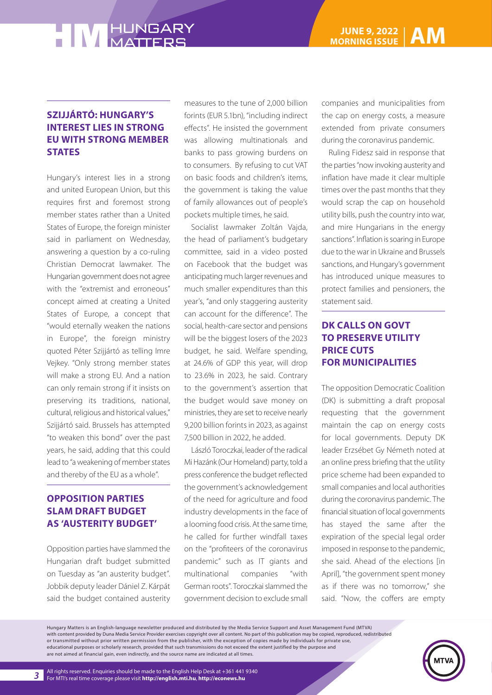### **SZIJJÁRTÓ: HUNGARY'S INTEREST LIES IN STRONG EU WITH STRONG MEMBER STATES**

Hungary's interest lies in a strong and united European Union, but this requires first and foremost strong member states rather than a United States of Europe, the foreign minister said in parliament on Wednesday, answering a question by a co-ruling Christian Democrat lawmaker. The Hungarian government does not agree with the "extremist and erroneous" concept aimed at creating a United States of Europe, a concept that "would eternally weaken the nations in Europe", the foreign ministry quoted Péter Szijjártó as telling Imre Vejkey. "Only strong member states will make a strong EU. And a nation can only remain strong if it insists on preserving its traditions, national, cultural, religious and historical values," Szijjártó said. Brussels has attempted "to weaken this bond" over the past years, he said, adding that this could lead to "a weakening of member states and thereby of the EU as a whole".

### **OPPOSITION PARTIES SLAM DRAFT BUDGET AS 'AUSTERITY BUDGET'**

Opposition parties have slammed the Hungarian draft budget submitted on Tuesday as "an austerity budget". Jobbik deputy leader Dániel Z. Kárpát said the budget contained austerity measures to the tune of 2,000 billion forints (EUR 5.1bn), "including indirect effects". He insisted the government was allowing multinationals and banks to pass growing burdens on to consumers. By refusing to cut VAT on basic foods and children's items, the government is taking the value of family allowances out of people's pockets multiple times, he said.

Socialist lawmaker Zoltán Vajda, the head of parliament's budgetary committee, said in a video posted on Facebook that the budget was anticipating much larger revenues and much smaller expenditures than this year's, "and only staggering austerity can account for the difference". The social, health-care sector and pensions will be the biggest losers of the 2023 budget, he said. Welfare spending, at 24.6% of GDP this year, will drop to 23.6% in 2023, he said. Contrary to the government's assertion that the budget would save money on ministries, they are set to receive nearly 9,200 billion forints in 2023, as against 7,500 billion in 2022, he added.

László Toroczkai, leader of the radical Mi Hazánk (Our Homeland) party, told a press conference the budget reflected the government's acknowledgement of the need for agriculture and food industry developments in the face of a looming food crisis. At the same time, he called for further windfall taxes on the "profiteers of the coronavirus pandemic" such as IT giants and multinational companies "with German roots". Toroczkai slammed the government decision to exclude small

companies and municipalities from the cap on energy costs, a measure extended from private consumers during the coronavirus pandemic.

Ruling Fidesz said in response that the parties "now invoking austerity and inflation have made it clear multiple times over the past months that they would scrap the cap on household utility bills, push the country into war, and mire Hungarians in the energy sanctions". Inflation is soaring in Europe due to the war in Ukraine and Brussels sanctions, and Hungary's government has introduced unique measures to protect families and pensioners, the statement said.

### **DK CALLS ON GOVT TO PRESERVE UTILITY PRICE CUTS FOR MUNICIPALITIES**

The opposition Democratic Coalition (DK) is submitting a draft proposal requesting that the government maintain the cap on energy costs for local governments. Deputy DK leader Erzsébet Gy Németh noted at an online press briefing that the utility price scheme had been expanded to small companies and local authorities during the coronavirus pandemic. The financial situation of local governments has stayed the same after the expiration of the special legal order imposed in response to the pandemic, she said. Ahead of the elections [in April], "the government spent money as if there was no tomorrow," she said. "Now, the coffers are empty

Hungary Matters is an English-language newsletter produced and distributed by the Media Service Support and Asset Management Fund (MTVA) with content provided by Duna Media Service Provider exercises copyright over all content. No part of this publication may be copied, reproduced, redistributed or transmitted without prior written permission from the publisher, with the exception of copies made by individuals for private use, educational purposes or scholarly research, provided that such transmissions do not exceed the extent justified by the purpose and are not aimed at financial gain, even indirectly, and the source name are indicated at all times.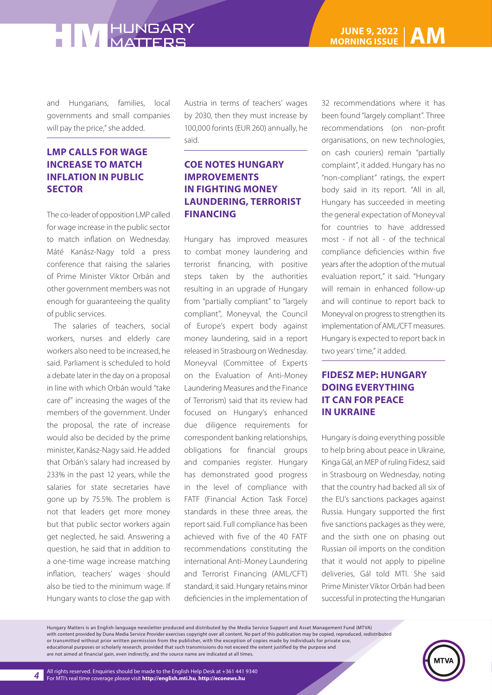and Hungarians, families, local governments and small companies will pay the price," she added.

### **LMP CALLS FOR WAGE INCREASE TO MATCH INFLATION IN PUBLIC SECTOR**

The co-leader of opposition LMP called for wage increase in the public sector to match inflation on Wednesday. Máté Kanász-Nagy told a press conference that raising the salaries of Prime Minister Viktor Orbán and other government members was not enough for guaranteeing the quality of public services.

The salaries of teachers, social workers, nurses and elderly care workers also need to be increased, he said. Parliament is scheduled to hold a debate later in the day on a proposal in line with which Orbán would "take care of" increasing the wages of the members of the government. Under the proposal, the rate of increase would also be decided by the prime minister, Kanász-Nagy said. He added that Orbán's salary had increased by 233% in the past 12 years, while the salaries for state secretaries have gone up by 75.5%. The problem is not that leaders get more money but that public sector workers again get neglected, he said. Answering a question, he said that in addition to a one-time wage increase matching inflation, teachers' wages should also be tied to the minimum wage. If Hungary wants to close the gap with Austria in terms of teachers' wages by 2030, then they must increase by 100,000 forints (EUR 260) annually, he said.

### **COE NOTES HUNGARY IMPROVEMENTS IN FIGHTING MONEY LAUNDERING, TERRORIST FINANCING**

Hungary has improved measures to combat money laundering and terrorist financing, with positive steps taken by the authorities resulting in an upgrade of Hungary from "partially compliant" to "largely compliant", Moneyval, the Council of Europe's expert body against money laundering, said in a report released in Strasbourg on Wednesday. Moneyval (Committee of Experts on the Evaluation of Anti-Money Laundering Measures and the Finance of Terrorism) said that its review had focused on Hungary's enhanced due diligence requirements for correspondent banking relationships, obligations for financial groups and companies register. Hungary has demonstrated good progress in the level of compliance with FATF (Financial Action Task Force) standards in these three areas, the report said. Full compliance has been achieved with five of the 40 FATF recommendations constituting the international Anti-Money Laundering and Terrorist Financing (AML/CFT) standard, it said. Hungary retains minor deficiencies in the implementation of 32 recommendations where it has been found "largely compliant". Three recommendations (on non-profit organisations, on new technologies, on cash couriers) remain "partially complaint", it added. Hungary has no "non-compliant" ratings, the expert body said in its report. "All in all, Hungary has succeeded in meeting the general expectation of Moneyval for countries to have addressed most - if not all - of the technical compliance deficiencies within five years after the adoption of the mutual evaluation report," it said. "Hungary will remain in enhanced follow-up and will continue to report back to Moneyval on progress to strengthen its implementation of AML/CFT measures. Hungary is expected to report back in two years' time," it added.

### **FIDESZ MEP: HUNGARY DOING EVERYTHING IT CAN FOR PEACE IN UKRAINE**

Hungary is doing everything possible to help bring about peace in Ukraine, Kinga Gál, an MEP of ruling Fidesz, said in Strasbourg on Wednesday, noting that the country had backed all six of the EU's sanctions packages against Russia. Hungary supported the first five sanctions packages as they were, and the sixth one on phasing out Russian oil imports on the condition that it would not apply to pipeline deliveries, Gál told MTI. She said Prime Minister Viktor Orbán had been successful in protecting the Hungarian

Hungary Matters is an English-language newsletter produced and distributed by the Media Service Support and Asset Management Fund (MTVA) with content provided by Duna Media Service Provider exercises copyright over all content. No part of this publication may be copied, reproduced, redistributed or transmitted without prior written permission from the publisher, with the exception of copies made by individuals for private use, educational purposes or scholarly research, provided that such transmissions do not exceed the extent justified by the purpose and are not aimed at financial gain, even indirectly, and the source name are indicated at all times.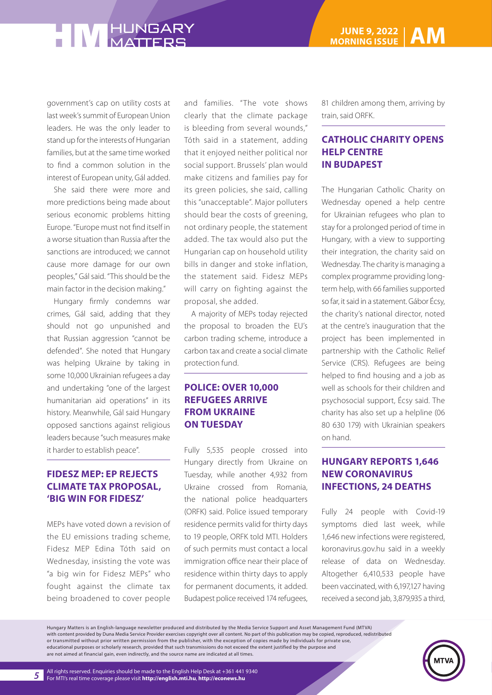government's cap on utility costs at last week's summit of European Union leaders. He was the only leader to stand up for the interests of Hungarian families, but at the same time worked to find a common solution in the interest of European unity, Gál added.

She said there were more and more predictions being made about serious economic problems hitting Europe. "Europe must not find itself in a worse situation than Russia after the sanctions are introduced; we cannot cause more damage for our own peoples," Gál said. "This should be the main factor in the decision making."

Hungary firmly condemns war crimes, Gál said, adding that they should not go unpunished and that Russian aggression "cannot be defended". She noted that Hungary was helping Ukraine by taking in some 10,000 Ukrainian refugees a day and undertaking "one of the largest humanitarian aid operations" in its history. Meanwhile, Gál said Hungary opposed sanctions against religious leaders because "such measures make it harder to establish peace".

### **FIDESZ MEP: EP REJECTS CLIMATE TAX PROPOSAL, 'BIG WIN FOR FIDESZ'**

MEPs have voted down a revision of the EU emissions trading scheme, Fidesz MEP Edina Tóth said on Wednesday, insisting the vote was "a big win for Fidesz MEPs" who fought against the climate tax being broadened to cover people

and families. "The vote shows clearly that the climate package is bleeding from several wounds," Tóth said in a statement, adding that it enjoyed neither political nor social support. Brussels' plan would make citizens and families pay for its green policies, she said, calling this "unacceptable". Major polluters should bear the costs of greening, not ordinary people, the statement added. The tax would also put the Hungarian cap on household utility bills in danger and stoke inflation, the statement said. Fidesz MEPs will carry on fighting against the proposal, she added.

A majority of MEPs today rejected the proposal to broaden the EU's carbon trading scheme, introduce a carbon tax and create a social climate protection fund.

### **POLICE: OVER 10,000 REFUGEES ARRIVE FROM UKRAINE ON TUESDAY**

Fully 5,535 people crossed into Hungary directly from Ukraine on Tuesday, while another 4,932 from Ukraine crossed from Romania, the national police headquarters (ORFK) said. Police issued temporary residence permits valid for thirty days to 19 people, ORFK told MTI. Holders of such permits must contact a local immigration office near their place of residence within thirty days to apply for permanent documents, it added. Budapest police received 174 refugees,

81 children among them, arriving by train, said ORFK.

#### **CATHOLIC CHARITY OPENS HELP CENTRE IN BUDAPEST**

The Hungarian Catholic Charity on Wednesday opened a help centre for Ukrainian refugees who plan to stay for a prolonged period of time in Hungary, with a view to supporting their integration, the charity said on Wednesday. The charity is managing a complex programme providing longterm help, with 66 families supported so far, it said in a statement. Gábor Écsy, the charity's national director, noted at the centre's inauguration that the project has been implemented in partnership with the Catholic Relief Service (CRS). Refugees are being helped to find housing and a job as well as schools for their children and psychosocial support, Écsy said. The charity has also set up a helpline (06 80 630 179) with Ukrainian speakers on hand.

### **HUNGARY REPORTS 1,646 NEW CORONAVIRUS INFECTIONS, 24 DEATHS**

Fully 24 people with Covid-19 symptoms died last week, while 1,646 new infections were registered, koronavirus.gov.hu said in a weekly release of data on Wednesday. Altogether 6,410,533 people have been vaccinated, with 6,197,127 having received a second jab, 3,879,935 a third,

Hungary Matters is an English-language newsletter produced and distributed by the Media Service Support and Asset Management Fund (MTVA) with content provided by Duna Media Service Provider exercises copyright over all content. No part of this publication may be copied, reproduced, redistributed or transmitted without prior written permission from the publisher, with the exception of copies made by individuals for private use, educational purposes or scholarly research, provided that such transmissions do not exceed the extent justified by the purpose and are not aimed at financial gain, even indirectly, and the source name are indicated at all times.